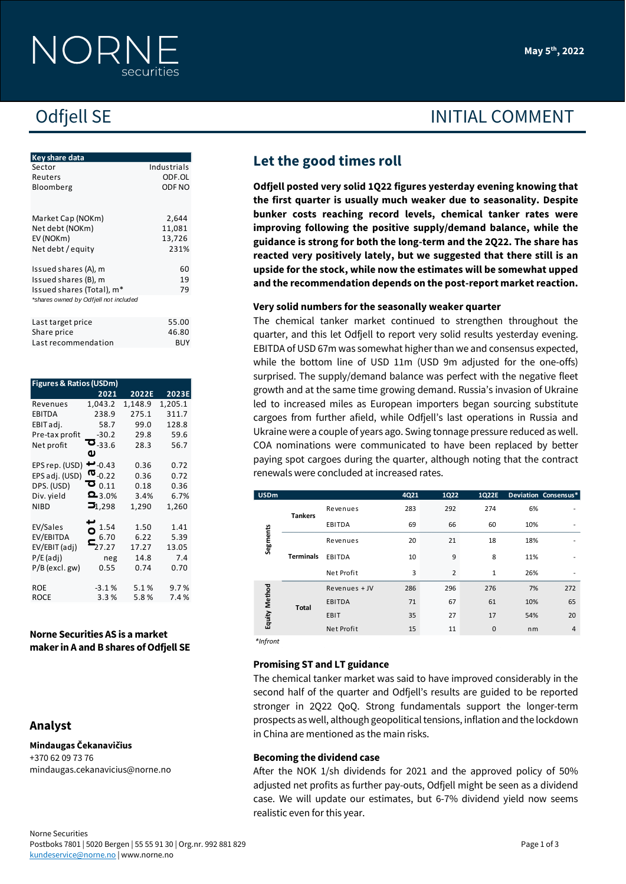| Key share data                        |             |
|---------------------------------------|-------------|
| Sector                                | Industrials |
| Reuters                               | ODF.OL      |
| Bloomberg                             | ODF NO      |
|                                       |             |
|                                       |             |
| Market Cap (NOKm)                     | 2,644       |
| Net debt (NOKm)                       | 11,081      |
| EV (NOKm)                             | 13,726      |
| Net debt / equity                     | 231%        |
|                                       |             |
| Issued shares (A), m                  | 60          |
| Issued shares (B), m                  | 19          |
| Issued shares (Total), m*             | 79          |
| *shares owned by Odfjell not included |             |
|                                       |             |
|                                       | 55.00       |
| Last target price                     |             |
| Share price                           | 46.80       |
| Last recommendation                   | <b>RUY</b>  |

| Sector                                                             |                                                |               | Industrials   |                           | $\sim$                          |               |
|--------------------------------------------------------------------|------------------------------------------------|---------------|---------------|---------------------------|---------------------------------|---------------|
| Reuters                                                            |                                                |               | ODF.OL        | Odfjell posted very solid |                                 |               |
| Bloomberg                                                          |                                                |               | ODF NO        |                           |                                 |               |
|                                                                    |                                                |               |               |                           | the first quarter is usua       |               |
| Market Cap (NOKm)                                                  |                                                |               | 2,644         |                           | bunker costs reaching           |               |
| Net debt (NOKm)                                                    |                                                |               | 11,081        |                           | improving following the         |               |
| EV (NOKm)                                                          |                                                |               | 13,726        |                           | guidance is strong for be       |               |
| Net debt / equity                                                  |                                                |               | 231%          |                           |                                 |               |
|                                                                    |                                                |               |               |                           | reacted very positively         |               |
| Issued shares (A), m                                               |                                                |               | 60            |                           | upside for the stock, wh        |               |
| Issued shares (B), m                                               |                                                |               | 19            |                           | and the recommendatio           |               |
| Issued shares (Total), m*<br>*shares owned by Odfjell not included |                                                |               | 79            |                           |                                 |               |
|                                                                    |                                                |               |               |                           | Very solid numbers for t        |               |
| Last target price                                                  |                                                |               | 55.00         |                           | The chemical tanker ma          |               |
| Share price                                                        |                                                |               | 46.80         |                           | quarter, and this let Odfje     |               |
| Last recommendation                                                |                                                |               | <b>BUY</b>    |                           | EBITDA of USD 67m was so        |               |
|                                                                    |                                                |               |               |                           |                                 |               |
|                                                                    |                                                |               |               |                           | while the bottom line of        |               |
|                                                                    |                                                |               |               |                           | surprised. The supply/der       |               |
| <b>Figures &amp; Ratios (USDm)</b>                                 | 2021                                           | 2022E         | 2023E         |                           | growth and at the same ti       |               |
| Revenues                                                           | 1,043.2                                        | 1,148.9       | 1,205.1       |                           | led to increased miles as       |               |
| EBITDA                                                             | 238.9                                          | 275.1         | 311.7         |                           |                                 |               |
| EBIT adj.                                                          | 58.7                                           | 99.0          | 128.8         |                           | cargoes from further afie       |               |
| Pre-tax profit                                                     | $-30.2$                                        | 29.8          | 59.6          |                           | Ukraine were a couple of y      |               |
| Net profit                                                         | $\mathbf{z}_{\scriptscriptstyle \text{-33.6}}$ | 28.3          | 56.7          |                           | COA nominations were c          |               |
|                                                                    | ω                                              |               |               |                           | paying spot cargoes durir       |               |
| EPS rep. (USD) -0.43                                               |                                                | 0.36          | 0.72          |                           | renewals were concluded         |               |
| EPS adj. (USD)                                                     | ო. $_{0.22}$<br>ට $_{0.11}$                    | 0.36          | 0.72          |                           |                                 |               |
| DPS. (USD)                                                         | $23.0\%$                                       | 0.18          | 0.36          | <b>USDm</b>               |                                 |               |
| Div. yield<br><b>NIBD</b>                                          | $\mathbf{5}_{1,298}$                           | 3.4%<br>1,290 | 6.7%<br>1,260 |                           |                                 |               |
|                                                                    |                                                |               |               |                           | <b>Tankers</b>                  | Revenues      |
| EV/Sales                                                           | 1.54                                           | 1.50          | 1.41          |                           |                                 | EBITDA        |
| EV/EBITDA                                                          | О<br>6.70                                      | 6.22          | 5.39          | Segments                  |                                 | Revenues      |
| EV/EBIT (adj)                                                      | 27.27                                          | 17.27         | 13.05         |                           |                                 |               |
| $P/E$ (adj)                                                        | neg                                            | 14.8          | 7.4           |                           | <b>Terminals</b>                | EBITDA        |
| $P/B$ (excl. gw)                                                   | 0.55                                           | 0.74          | 0.70          |                           |                                 | Net Profit    |
| <b>ROE</b>                                                         | $-3.1%$                                        | 5.1%          | 9.7%          |                           |                                 | Revenues +    |
| <b>ROCE</b>                                                        | 3.3%                                           | 5.8%          | 7.4%          | Equity Method             |                                 | <b>EBITDA</b> |
|                                                                    |                                                |               |               |                           | <b>Total</b>                    |               |
|                                                                    |                                                |               |               |                           |                                 | EBIT          |
| Norne Securities AS is a market                                    |                                                |               |               |                           |                                 | Net Profit    |
| maker in A and B shares of Odfjell SE                              |                                                |               |               | *Infront                  |                                 |               |
|                                                                    |                                                |               |               |                           |                                 |               |
|                                                                    |                                                |               |               |                           | <b>Promising ST and LT guid</b> |               |
|                                                                    |                                                |               |               |                           | The chemical tanker mark        |               |
|                                                                    |                                                |               |               |                           | second half of the quarte       |               |
|                                                                    |                                                |               |               |                           |                                 |               |
|                                                                    |                                                |               |               |                           | stronger in 2Q22 QoQ.           |               |
| Analyst                                                            |                                                |               |               |                           | prospects as well, althoug      |               |
|                                                                    |                                                |               |               |                           | in China are mentioned as       |               |
| Mindaugas Čekanavičius                                             |                                                |               |               |                           |                                 |               |
| +370 62 09 73 76                                                   |                                                |               |               |                           | <b>Becoming the dividend c</b>  |               |
| mindaugas.cekanavicius@norne.no                                    |                                                |               |               |                           | After the NOK 1/sh divid        |               |
|                                                                    |                                                |               |               |                           |                                 |               |
|                                                                    |                                                |               |               |                           | adjusted net profits as fur     |               |
|                                                                    |                                                |               |               |                           | case. We will update our        |               |
|                                                                    |                                                |               |               |                           | realistic even for this year.   |               |
|                                                                    |                                                |               |               |                           |                                 |               |

#### **Norne Securities AS is a market maker in A and B shares of Odfjell SE**

# **Analyst**

**May 5 th, 2022**

# Odfjell SE INITIAL COMMENT

# **Let the good times roll**

**Odfjell posted very solid 1Q22 figures yesterday evening knowing that the first quarter is usually much weaker due to seasonality. Despite bunker costs reaching record levels, chemical tanker rates were improving following the positive supply/demand balance, while the guidance is strong for both the long-term and the 2Q22. The share has reacted very positively lately, but we suggested that there still is an upside for the stock, while now the estimates will be somewhat upped and the recommendation depends on the post-report market reaction.**

#### **Very solid numbers for the seasonally weaker quarter**

The chemical tanker market continued to strengthen throughout the quarter, and this let Odfjell to report very solid results yesterday evening. EBITDA of USD 67m was somewhat higher than we and consensus expected, while the bottom line of USD 11m (USD 9m adjusted for the one-offs) surprised. The supply/demand balance was perfect with the negative fleet growth and at the same time growing demand. Russia's invasion of Ukraine led to increased miles as European importers began sourcing substitute cargoes from further afield, while Odfjell's last operations in Russia and Ukraine were a couple of years ago. Swing tonnage pressure reduced as well. COA nominations were communicated to have been replaced by better paying spot cargoes during the quarter, although noting that the contract renewals were concluded at increased rates.

| <b>USDm</b>   |                  |               | 4Q21 | 1Q22 | 1Q22E |     | Deviation Consensus* |
|---------------|------------------|---------------|------|------|-------|-----|----------------------|
| Segments      | <b>Tankers</b>   | Revenues      | 283  | 292  | 274   | 6%  |                      |
|               |                  | EBITDA        | 69   | 66   | 60    | 10% |                      |
|               | <b>Terminals</b> | Revenues      | 20   | 21   | 18    | 18% |                      |
|               |                  | EBITDA        | 10   | 9    | 8     | 11% |                      |
|               |                  | Net Profit    | 3    |      | 1     | 26% |                      |
| Equity Method |                  | Revenues + JV | 286  | 296  | 276   | 7%  | 272                  |
|               | <b>Total</b>     | <b>EBITDA</b> | 71   | 67   | 61    | 10% | 65                   |
|               |                  | EBIT          | 35   | 27   | 17    | 54% | 20                   |
|               |                  | Net Profit    | 15   | 11   | 0     | nm  | 4                    |
| *Infront      |                  |               |      |      |       |     |                      |

#### **Promising ST and LT guidance**

The chemical tanker market was said to have improved considerably in the second half of the quarter and Odfjell's results are guided to be reported stronger in 2Q22 QoQ. Strong fundamentals support the longer-term prospects as well, although geopolitical tensions, inflation and the lockdown in China are mentioned as the main risks.

#### **Becoming the dividend case**

After the NOK 1/sh dividends for 2021 and the approved policy of 50% adjusted net profits as further pay-outs, Odfjell might be seen as a dividend case. We will update our estimates, but 6-7% dividend yield now seems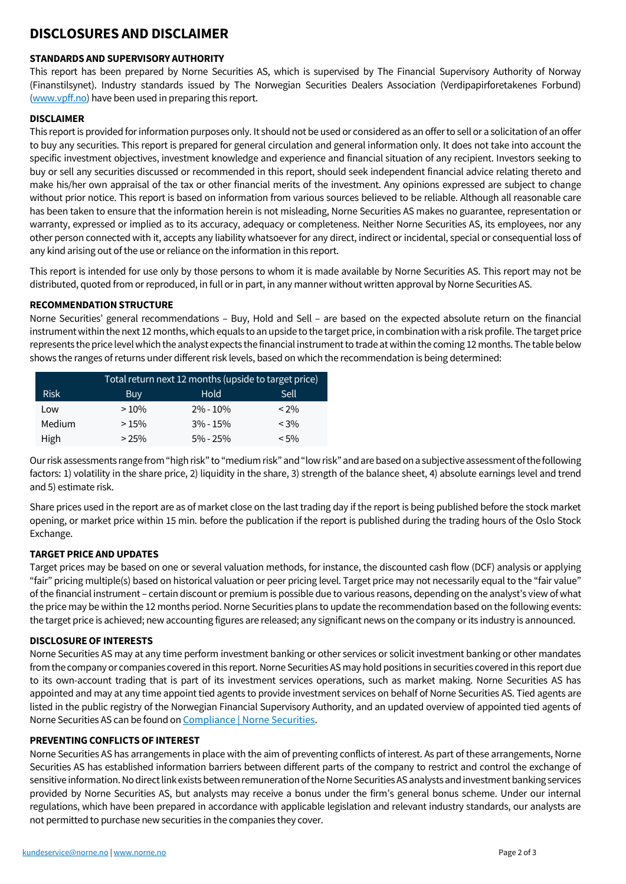## **DISCLOSURES AND DISCLAIMER**

#### **STANDARDS AND SUPERVISORY AUTHORITY**

This report has been prepared by Norne Securities AS, which is supervised by The Financial Supervisory Authority of Norway (Finanstilsynet). Industry standards issued by The Norwegian Securities Dealers Association (Verdipapirforetakenes Forbund) [\(www.vpff.no\)](http://www.vpff.no/) have been used in preparing this report.

#### **DISCLAIMER**

This report is provided for information purposes only. It should not be used or considered as an offer to sell or a solicitation of an offer to buy any securities. This report is prepared for general circulation and general information only. It does not take into account the specific investment objectives, investment knowledge and experience and financial situation of any recipient. Investors seeking to buy or sell any securities discussed or recommended in this report, should seek independent financial advice relating thereto and make his/her own appraisal of the tax or other financial merits of the investment. Any opinions expressed are subject to change without prior notice. This report is based on information from various sources believed to be reliable. Although all reasonable care has been taken to ensure that the information herein is not misleading, Norne Securities AS makes no guarantee, representation or warranty, expressed or implied as to its accuracy, adequacy or completeness. Neither Norne Securities AS, its employees, nor any other person connected with it, accepts any liability whatsoever for any direct, indirect or incidental, special or consequential loss of any kind arising out of the use or reliance on the information in this report.

This report is intended for use only by those persons to whom it is made available by Norne Securities AS. This report may not be distributed, quoted from or reproduced, in full or in part, in any manner without written approval by Norne Securities AS.

#### **RECOMMENDATION STRUCTURE**

Norne Securities' general recommendations – Buy, Hold and Sell – are based on the expected absolute return on the financial instrument within the next 12 months, which equals to an upside to the target price, in combination witha risk profile. The target price represents the price level which the analyst expects the financial instrument to trade at within the coming 12 months. The table below shows the ranges of returns under different risk levels, based on which the recommendation is being determined:

|             | Total return next 12 months (upside to target price) |              |         |  |  |
|-------------|------------------------------------------------------|--------------|---------|--|--|
| <b>Risk</b> | <b>Buy</b>                                           | Hold         | Sell    |  |  |
| Low         | >10%                                                 | $2\% - 10\%$ | $< 2\%$ |  |  |
| Medium      | >15%                                                 | $3\% - 15\%$ | $< 3\%$ |  |  |
| High        | $> 25\%$                                             | $5\% - 25\%$ | $< 5\%$ |  |  |

Our risk assessments range from "high risk" to "medium risk" and "low risk" and are based on a subjective assessment of the following factors: 1) volatility in the share price, 2) liquidity in the share, 3) strength of the balance sheet, 4) absolute earnings level and trend and 5) estimate risk.

Share prices used in the report are as of market close on the last trading day if the report is being published before the stock market opening, or market price within 15 min. before the publication if the report is published during the trading hours of the Oslo Stock Exchange.

### **TARGET PRICE AND UPDATES**

Target prices may be based on one or several valuation methods, for instance, the discounted cash flow (DCF) analysis or applying "fair" pricing multiple(s) based on historical valuation or peer pricing level. Target price may not necessarily equal to the "fair value" of the financial instrument – certain discount or premium is possible due to various reasons, depending on the analyst's view of what the price may be within the 12 months period. Norne Securities plans to update the recommendation based on the following events: the target price is achieved; new accounting figures are released; any significant news on the company or its industry is announced.

### **DISCLOSURE OF INTERESTS**

Norne Securities AS may at any time perform investment banking or other services or solicit investment banking or other mandates from the company or companies covered in this report. Norne Securities AS may hold positions in securities covered in this report due to its own-account trading that is part of its investment services operations, such as market making. Norne Securities AS has appointed and may at any time appoint tied agents to provide investment services on behalf of Norne Securities AS. Tied agents are listed in the public registry of the Norwegian Financial Supervisory Authority, and an updated overview of appointed tied agents of Norne Securities AS can be found o[n Compliance | Norne Securities.](https://norne.no/compliance/)

### **PREVENTING CONFLICTS OF INTEREST**

Norne Securities AS has arrangements in place with the aim of preventing conflicts of interest. As part of these arrangements, Norne Securities AS has established information barriers between different parts of the company to restrict and control the exchange of sensitive information. No direct link exists between remuneration of the Norne Securities AS analysts and investment banking services provided by Norne Securities AS, but analysts may receive a bonus under the firm's general bonus scheme. Under our internal regulations, which have been prepared in accordance with applicable legislation and relevant industry standards, our analysts are not permitted to purchase new securities in the companies they cover.